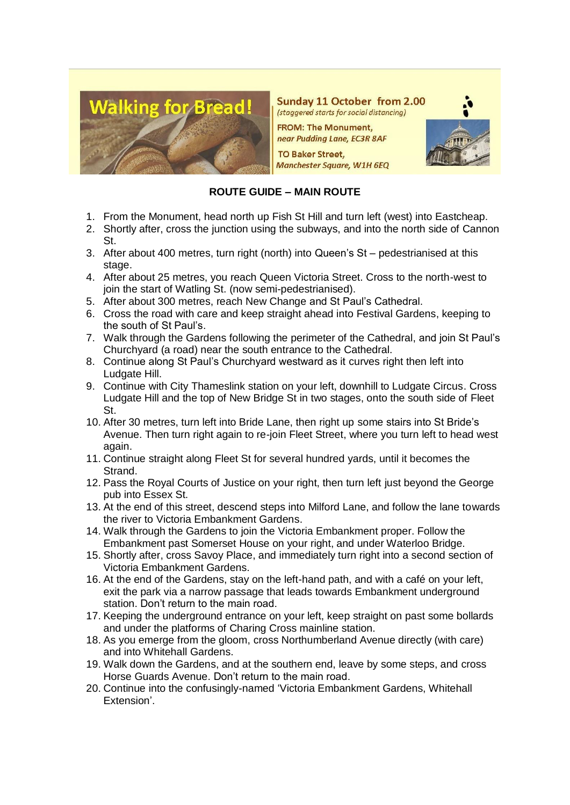

Sunday 11 October from 2.00 (staggered starts for social distancing)

**FROM: The Monument,** near Pudding Lane, EC3R 8AF

**TO Baker Street, Manchester Square, W1H 6EQ** 

## **ROUTE GUIDE – MAIN ROUTE**

- 1. From the Monument, head north up Fish St Hill and turn left (west) into Eastcheap.
- 2. Shortly after, cross the junction using the subways, and into the north side of Cannon St.
- 3. After about 400 metres, turn right (north) into Queen's St pedestrianised at this stage.
- 4. After about 25 metres, you reach Queen Victoria Street. Cross to the north-west to join the start of Watling St. (now semi-pedestrianised).
- 5. After about 300 metres, reach New Change and St Paul's Cathedral.
- 6. Cross the road with care and keep straight ahead into Festival Gardens, keeping to the south of St Paul's.
- 7. Walk through the Gardens following the perimeter of the Cathedral, and join St Paul's Churchyard (a road) near the south entrance to the Cathedral.
- 8. Continue along St Paul's Churchyard westward as it curves right then left into Ludgate Hill.
- 9. Continue with City Thameslink station on your left, downhill to Ludgate Circus. Cross Ludgate Hill and the top of New Bridge St in two stages, onto the south side of Fleet St.
- 10. After 30 metres, turn left into Bride Lane, then right up some stairs into St Bride's Avenue. Then turn right again to re-join Fleet Street, where you turn left to head west again.
- 11. Continue straight along Fleet St for several hundred yards, until it becomes the Strand.
- 12. Pass the Royal Courts of Justice on your right, then turn left just beyond the George pub into Essex St.
- 13. At the end of this street, descend steps into Milford Lane, and follow the lane towards the river to Victoria Embankment Gardens.
- 14. Walk through the Gardens to join the Victoria Embankment proper. Follow the Embankment past Somerset House on your right, and under Waterloo Bridge.
- 15. Shortly after, cross Savoy Place, and immediately turn right into a second section of Victoria Embankment Gardens.
- 16. At the end of the Gardens, stay on the left-hand path, and with a café on your left, exit the park via a narrow passage that leads towards Embankment underground station. Don't return to the main road.
- 17. Keeping the underground entrance on your left, keep straight on past some bollards and under the platforms of Charing Cross mainline station.
- 18. As you emerge from the gloom, cross Northumberland Avenue directly (with care) and into Whitehall Gardens.
- 19. Walk down the Gardens, and at the southern end, leave by some steps, and cross Horse Guards Avenue. Don't return to the main road.
- 20. Continue into the confusingly-named 'Victoria Embankment Gardens, Whitehall Extension'.